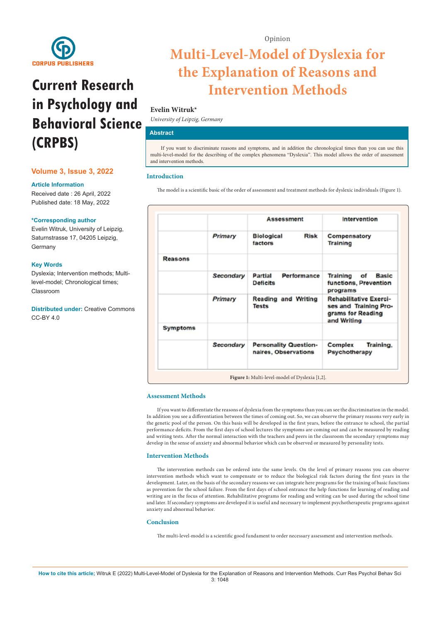

# **Current Research in Psychology and Behavioral Science (CRPBS)**

## **Volume 3, Issue 3, 2022**

#### **Article Information**

Received date : 26 April, 2022 Published date: 18 May, 2022

#### **\*Corresponding author**

Evelin Witruk, University of Leipzig, Saturnstrasse 17, 04205 Leipzig, **Germany** 

## **Key Words**

Dyslexia; Intervention methods; Multilevel-model; Chronological times; Classroom

**Distributed under:** [Creative Commons](https://creativecommons.org/licenses/by/4.0/)  [CC-BY 4.0](https://creativecommons.org/licenses/by/4.0/)

# **Multi-Level-Model of Dyslexia for the Explanation of Reasons and Intervention Methods**

## **Evelin Witruk\***

*University of Leipzig, Germany*

## **Abstract**

If you want to discriminate reasons and symptoms, and in addition the chronological times than you can use this multi-level-model for the describing of the complex phenomena "Dyslexia". This model allows the order of assessment and intervention methods.

## **Introduction**

The model is a scientific basic of the order of assessment and treatment methods for dyslexic individuals (Figure 1).

|                  | <b>Assessment</b>                                    | Intervention                                                                               |
|------------------|------------------------------------------------------|--------------------------------------------------------------------------------------------|
| Primary          | <b>Biological</b><br><b>Risk</b><br>factors          | Compensatory<br><b>Training</b>                                                            |
|                  |                                                      |                                                                                            |
| Secondary        | Performance<br>Partial<br><b>Deficits</b>            | Training<br><b>Basic</b><br>of<br>functions, Prevention<br>programs                        |
| Primary          | <b>Reading and Writing</b><br><b>Tests</b>           | <b>Rehabilitative Exerci-</b><br>ses and Training Pro-<br>grams for Reading<br>and Writing |
|                  |                                                      |                                                                                            |
| <b>Secondary</b> | <b>Personality Question-</b><br>naires, Observations | Complex<br>Training.<br>Psychotherapy                                                      |
|                  |                                                      |                                                                                            |

## **Assessment Methods**

If you want to differentiate the reasons of dyslexia from the symptoms than you can see the discrimination in the model. In addition you see a differentiation between the times of coming out. So, we can observe the primary reasons very early in the genetic pool of the person. On this basis will be developed in the first years, before the entrance to school, the partial performance deficits. From the first days of school lectures the symptoms are coming out and can be measured by reading and writing tests. After the normal interaction with the teachers and peers in the classroom the secondary symptoms may develop in the sense of anxiety and abnormal behavior which can be observed or measured by personality tests.

#### **Intervention Methods**

The intervention methods can be ordered into the same levels. On the level of primary reasons you can observe intervention methods which want to compensate or to reduce the biological risk factors during the first years in the development. Later, on the basis of the secondary reasons we can integrate here programs for the training of basic functions as prevention for the school failure. From the first days of school entrance the help functions for learning of reading and writing are in the focus of attention. Rehabilitative programs for reading and writing can be used during the school time and later. If secondary symptoms are developed it is useful and necessary to implement psychotherapeutic programs against anxiety and abnormal behavior.

## **Conclusion**

The multi-level-model is a scientific good fundament to order necessary assessment and intervention methods.

## Opinion